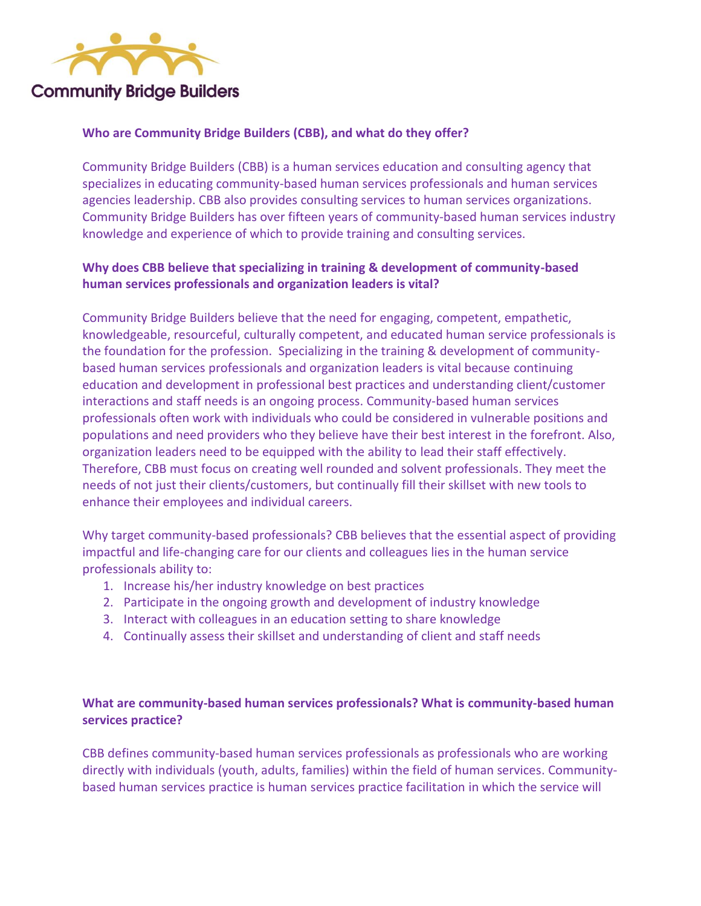

### **Who are Community Bridge Builders (CBB), and what do they offer?**

Community Bridge Builders (CBB) is a human services education and consulting agency that specializes in educating community-based human services professionals and human services agencies leadership. CBB also provides consulting services to human services organizations. Community Bridge Builders has over fifteen years of community-based human services industry knowledge and experience of which to provide training and consulting services.

# **Why does CBB believe that specializing in training & development of community-based human services professionals and organization leaders is vital?**

Community Bridge Builders believe that the need for engaging, competent, empathetic, knowledgeable, resourceful, culturally competent, and educated human service professionals is the foundation for the profession. Specializing in the training & development of communitybased human services professionals and organization leaders is vital because continuing education and development in professional best practices and understanding client/customer interactions and staff needs is an ongoing process. Community-based human services professionals often work with individuals who could be considered in vulnerable positions and populations and need providers who they believe have their best interest in the forefront. Also, organization leaders need to be equipped with the ability to lead their staff effectively. Therefore, CBB must focus on creating well rounded and solvent professionals. They meet the needs of not just their clients/customers, but continually fill their skillset with new tools to enhance their employees and individual careers.

Why target community-based professionals? CBB believes that the essential aspect of providing impactful and life-changing care for our clients and colleagues lies in the human service professionals ability to:

- 1. Increase his/her industry knowledge on best practices
- 2. Participate in the ongoing growth and development of industry knowledge
- 3. Interact with colleagues in an education setting to share knowledge
- 4. Continually assess their skillset and understanding of client and staff needs

## **What are community-based human services professionals? What is community-based human services practice?**

CBB defines community-based human services professionals as professionals who are working directly with individuals (youth, adults, families) within the field of human services. Communitybased human services practice is human services practice facilitation in which the service will